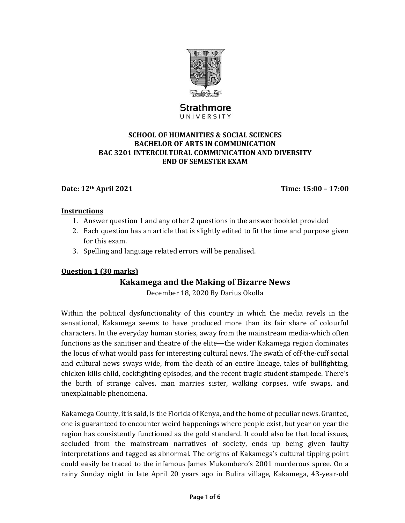

# Strathmore UNIVERSITY

#### **SCHOOL OF HUMANITIES & SOCIAL SCIENCES BACHELOR OF ARTS IN COMMUNICATION BAC 3201 INTERCULTURAL COMMUNICATION AND DIVERSITY END OF SEMESTER EXAM**

### **Date: 12th April 2021 Time: 15:00 – 17:00**

#### **Instructions**

- 1. Answer question 1 and any other 2 questions in the answer booklet provided
- 2. Each question has an article that is slightly edited to fit the time and purpose given for this exam.
- 3. Spelling and language related errors will be penalised.

### **Question 1 (30 marks)**

# **Kakamega and the Making of Bizarre News**

December 18, 2020 By Darius Okolla

Within the political dysfunctionality of this country in which the media revels in the sensational, Kakamega seems to have produced more than its fair share of colourful characters. In the everyday human stories, away from the mainstream media-which often functions as the sanitiser and theatre of the elite—the wider Kakamega region dominates the locus of what would pass for interesting cultural news. The swath of off-the-cuff social and cultural news sways wide, from the death of an entire lineage, tales of bullfighting, chicken kills child, cockfighting episodes, and the recent tragic student stampede. There's the birth of strange calves, man marries sister, walking corpses, wife swaps, and unexplainable phenomena.

Kakamega County, it is said, is the Florida of Kenya, and the home of peculiar news. Granted, one is guaranteed to encounter weird happenings where people exist, but year on year the region has consistently functioned as the gold standard. It could also be that local issues, secluded from the mainstream narratives of society, ends up being given faulty interpretations and tagged as abnormal. The origins of Kakamega's cultural tipping point could easily be traced to the infamous James Mukombero's 2001 murderous spree. On a rainy Sunday night in late April 20 years ago in Bulira village, Kakamega, 43-year-old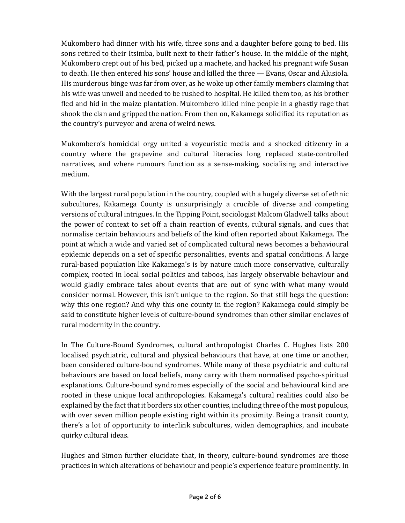Mukombero had dinner with his wife, three sons and a daughter before going to bed. His sons retired to their Itsimba, built next to their father's house. In the middle of the night, Mukombero crept out of his bed, picked up a machete, and hacked his pregnant wife Susan to death. He then entered his sons' house and killed the three — Evans, Oscar and Alusiola. His murderous binge was far from over, as he woke up other family members claiming that his wife was unwell and needed to be rushed to hospital. He killed them too, as his brother fled and hid in the maize plantation. Mukombero killed nine people in a ghastly rage that shook the clan and gripped the nation. From then on, Kakamega solidified its reputation as the country's purveyor and arena of weird news.

Mukombero's homicidal orgy united a voyeuristic media and a shocked citizenry in a country where the grapevine and cultural literacies long replaced state-controlled narratives, and where rumours function as a sense-making, socialising and interactive medium. 

With the largest rural population in the country, coupled with a hugely diverse set of ethnic subcultures, Kakamega County is unsurprisingly a crucible of diverse and competing versions of cultural intrigues. In the Tipping Point, sociologist Malcom Gladwell talks about the power of context to set off a chain reaction of events, cultural signals, and cues that normalise certain behaviours and beliefs of the kind often reported about Kakamega. The point at which a wide and varied set of complicated cultural news becomes a behavioural epidemic depends on a set of specific personalities, events and spatial conditions. A large rural-based population like Kakamega's is by nature much more conservative, culturally complex, rooted in local social politics and taboos, has largely observable behaviour and would gladly embrace tales about events that are out of sync with what many would consider normal. However, this isn't unique to the region. So that still begs the question: why this one region? And why this one county in the region? Kakamega could simply be said to constitute higher levels of culture-bound syndromes than other similar enclaves of rural modernity in the country.

In The Culture-Bound Syndromes, cultural anthropologist Charles C. Hughes lists 200 localised psychiatric, cultural and physical behaviours that have, at one time or another, been considered culture-bound syndromes. While many of these psychiatric and cultural behaviours are based on local beliefs, many carry with them normalised psycho-spiritual explanations. Culture-bound syndromes especially of the social and behavioural kind are rooted in these unique local anthropologies. Kakamega's cultural realities could also be explained by the fact that it borders six other counties, including three of the most populous, with over seven million people existing right within its proximity. Being a transit county, there's a lot of opportunity to interlink subcultures, widen demographics, and incubate quirky cultural ideas.

Hughes and Simon further elucidate that, in theory, culture-bound syndromes are those practices in which alterations of behaviour and people's experience feature prominently. In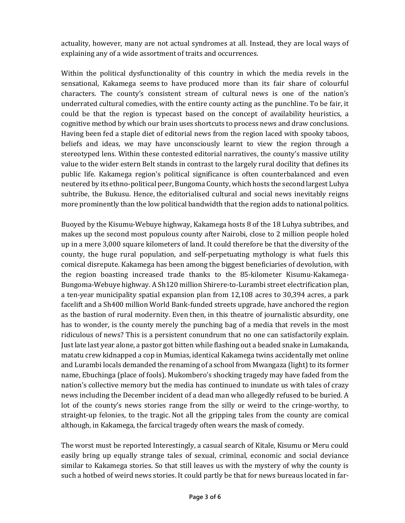actuality, however, many are not actual syndromes at all. Instead, they are local ways of explaining any of a wide assortment of traits and occurrences.

Within the political dysfunctionality of this country in which the media revels in the sensational, Kakamega seems to have produced more than its fair share of colourful characters. The county's consistent stream of cultural news is one of the nation's underrated cultural comedies, with the entire county acting as the punchline. To be fair, it could be that the region is typecast based on the concept of availability heuristics, a cognitive method by which our brain uses shortcuts to process news and draw conclusions. Having been fed a staple diet of editorial news from the region laced with spooky taboos, beliefs and ideas, we may have unconsciously learnt to view the region through a stereotyped lens. Within these contested editorial narratives, the county's massive utility value to the wider estern Belt stands in contrast to the largely rural docility that defines its public life. Kakamega region's political significance is often counterbalanced and even neutered by its ethno-political peer, Bungoma County, which hosts the second largest Luhya subtribe, the Bukusu. Hence, the editorialised cultural and social news inevitably reigns more prominently than the low political bandwidth that the region adds to national politics.

Buoyed by the Kisumu-Webuye highway, Kakamega hosts 8 of the 18 Luhya subtribes, and makes up the second most populous county after Nairobi, close to 2 million people holed up in a mere 3,000 square kilometers of land. It could therefore be that the diversity of the county, the huge rural population, and self-perpetuating mythology is what fuels this comical disrepute. Kakamega has been among the biggest beneficiaries of devolution, with the region boasting increased trade thanks to the 85-kilometer Kisumu-Kakamega-Bungoma-Webuye highway. A Sh120 million Shirere-to-Lurambi street electrification plan, a ten-year municipality spatial expansion plan from 12,108 acres to 30,394 acres, a park facelift and a Sh400 million World Bank-funded streets upgrade, have anchored the region as the bastion of rural modernity. Even then, in this theatre of journalistic absurdity, one has to wonder, is the county merely the punching bag of a media that revels in the most ridiculous of news? This is a persistent conundrum that no one can satisfactorily explain. Just late last year alone, a pastor got bitten while flashing out a beaded snake in Lumakanda, matatu crew kidnapped a cop in Mumias, identical Kakamega twins accidentally met online and Lurambi locals demanded the renaming of a school from Mwangaza (light) to its former name, Ebuchinga (place of fools). Mukombero's shocking tragedy may have faded from the nation's collective memory but the media has continued to inundate us with tales of crazy news including the December incident of a dead man who allegedly refused to be buried. A lot of the county's news stories range from the silly or weird to the cringe-worthy, to straight-up felonies, to the tragic. Not all the gripping tales from the county are comical although, in Kakamega, the farcical tragedy often wears the mask of comedy.

The worst must be reported Interestingly, a casual search of Kitale, Kisumu or Meru could easily bring up equally strange tales of sexual, criminal, economic and social deviance similar to Kakamega stories. So that still leaves us with the mystery of why the county is such a hotbed of weird news stories. It could partly be that for news bureaus located in far-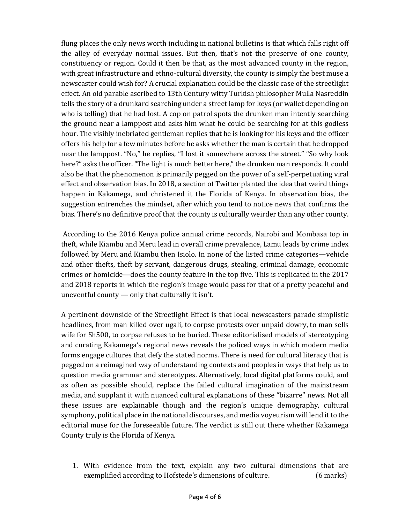flung places the only news worth including in national bulletins is that which falls right off the alley of everyday normal issues. But then, that's not the preserve of one county, constituency or region. Could it then be that, as the most advanced county in the region, with great infrastructure and ethno-cultural diversity, the county is simply the best muse a newscaster could wish for? A crucial explanation could be the classic case of the streetlight effect. An old parable ascribed to 13th Century witty Turkish philosopher Mulla Nasreddin tells the story of a drunkard searching under a street lamp for keys (or wallet depending on who is telling) that he had lost. A cop on patrol spots the drunken man intently searching the ground near a lamppost and asks him what he could be searching for at this godless hour. The visibly inebriated gentleman replies that he is looking for his keys and the officer offers his help for a few minutes before he asks whether the man is certain that he dropped near the lamppost. "No," he replies, "I lost it somewhere across the street." "So why look here?" asks the officer. "The light is much better here," the drunken man responds. It could also be that the phenomenon is primarily pegged on the power of a self-perpetuating viral effect and observation bias. In 2018, a section of Twitter planted the idea that weird things happen in Kakamega, and christened it the Florida of Kenya. In observation bias, the suggestion entrenches the mindset, after which you tend to notice news that confirms the bias. There's no definitive proof that the county is culturally weirder than any other county.

According to the 2016 Kenya police annual crime records, Nairobi and Mombasa top in theft, while Kiambu and Meru lead in overall crime prevalence, Lamu leads by crime index followed by Meru and Kiambu then Isiolo. In none of the listed crime categories—vehicle and other thefts, theft by servant, dangerous drugs, stealing, criminal damage, economic crimes or homicide—does the county feature in the top five. This is replicated in the 2017 and 2018 reports in which the region's image would pass for that of a pretty peaceful and uneventful county  $-$  only that culturally it isn't.

A pertinent downside of the Streetlight Effect is that local newscasters parade simplistic headlines, from man killed over ugali, to corpse protests over unpaid dowry, to man sells wife for Sh500, to corpse refuses to be buried. These editorialised models of stereotyping and curating Kakamega's regional news reveals the policed ways in which modern media forms engage cultures that defy the stated norms. There is need for cultural literacy that is pegged on a reimagined way of understanding contexts and peoples in ways that help us to question media grammar and stereotypes. Alternatively, local digital platforms could, and as often as possible should, replace the failed cultural imagination of the mainstream media, and supplant it with nuanced cultural explanations of these "bizarre" news. Not all these issues are explainable though and the region's unique demography, cultural symphony, political place in the national discourses, and media voyeurism will lend it to the editorial muse for the foreseeable future. The verdict is still out there whether Kakamega County truly is the Florida of Kenya.

1. With evidence from the text, explain any two cultural dimensions that are exemplified according to Hofstede's dimensions of culture. (6 marks)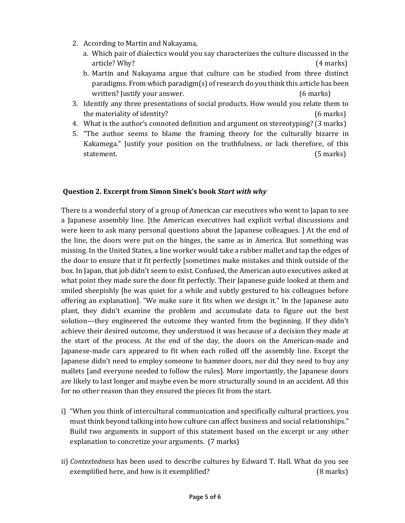- 2. According to Martin and Nakayama,
	- a. Which pair of dialectics would you say characterizes the culture discussed in the article? Why? (4 marks)
	- b. Martin and Nakayama argue that culture can be studied from three distinct paradigms. From which paradigm(s) of research do you think this article has been written? Justify your answer. (6 marks)
- 3. Identify any three presentations of social products. How would you relate them to the materiality of identity? (6 marks)
- 4. What is the author's connoted definition and argument on stereotyping? (3 marks)
- 5. "The author seems to blame the framing theory for the culturally bizarre in Kakamega." Justify your position on the truthfulness, or lack therefore, of this statement. (5 marks)

#### **Question 2. Excerpt from Simon Sinek's book** *Start with why*

There is a wonderful story of a group of American car executives who went to Japan to see a Japanese assembly line. [the American executives had explicit verbal discussions and were keen to ask many personal questions about the Japanese colleagues. ] At the end of the line, the doors were put on the hinges, the same as in America. But something was missing. In the United States, a line worker would take a rubber mallet and tap the edges of the door to ensure that it fit perfectly [sometimes make mistakes and think outside of the box. In Japan, that job didn't seem to exist. Confused, the American auto executives asked at what point they made sure the door fit perfectly. Their Japanese guide looked at them and smiled sheepishly [he was quiet for a while and subtly gestured to his colleagues before offering an explanation]. "We make sure it fits when we design it." In the Japanese auto plant, they didn't examine the problem and accumulate data to figure out the best solution—they engineered the outcome they wanted from the beginning. If they didn't achieve their desired outcome, they understood it was because of a decision they made at the start of the process. At the end of the day, the doors on the American-made and Japanese-made cars appeared to fit when each rolled off the assembly line. Except the Japanese didn't need to employ someone to hammer doors, nor did they need to buy any mallets [and everyone needed to follow the rules]. More importantly, the Japanese doors are likely to last longer and maybe even be more structurally sound in an accident. All this for no other reason than they ensured the pieces fit from the start.

- i) "When you think of intercultural communication and specifically cultural practices, you must think beyond talking into how culture can affect business and social relationships." Build two arguments in support of this statement based on the excerpt or any other explanation to concretize your arguments. (7 marks)
- ii) *Contextedness* has been used to describe cultures by Edward T. Hall. What do you see exemplified here, and how is it exemplified? (8 marks)